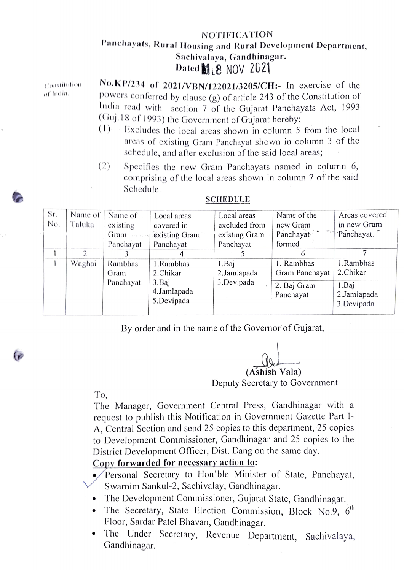## NOTIFICATION Panchayats, Rural Housing and Rural Development Department, Sachivalaya, Gandhinagar. Dated  $\mathbf{M}$   $\mathbf{R}$  NOV 2021

Constitulion of Idin.

No.KP/234 of 2021/VBN/122021/3205/CH:- In exercise of the powers conferred by clause  $(g)$  of article 243 of the Constitution of India read with section 7 of the Gujarat Panchayats Act, 1993 (Guj.18 of 1993) the Government of Gujarat hcreby;

- $(1)$  Excludes the local areas shown in column 5 from the local arcas of existing Granm Panchayat shown in column 3 of the schedule, and after exclusion of the said local areas;
- (2) Specifies the new Gran Panchayats named in column 6, comprising of the local areas shown in column 7 of the said Schedule.

| Sr. | Name of | Name of   | Local areas   | Local areas   | Name of the    | Areas covered |
|-----|---------|-----------|---------------|---------------|----------------|---------------|
| No. | Taluka  | existing  | covered in    | excluded from | new Gram       | in new Gram   |
|     |         | Gram      | existing Gram | existing Gram | Panchayat      | Panchayat.    |
|     |         | Panchayat | Panchayat     | Panchayat     | formed         |               |
|     | 2       |           |               |               | <sub>t</sub>   |               |
|     | Waghai  | Rambhas   | 1.Rambhas     | 1.Baj         | 1. Rambhas     | 1.Rambhas     |
|     |         | Gram      | 2.Chikar      | 2.Jamlapada   | Gram Panchayat | 2.Chikar      |
|     |         | Panchayat | 3.Baj         | 3.Devipada    | 2. Baj Gram    | 1.Baj         |
|     |         |           | 4.Jamlapada   |               | Panchayat      | 2.Jamlapada   |
|     |         |           | 5.Devipada    |               |                | 3.Devipada    |
|     |         |           |               |               |                |               |

## SCHEDULE

By order and in the name of the Governor of Gujarat,

(Ashish Vala)

Deputy Secretary to Government

To,

The Manager, Government Central Press, Gandhinagar with a request to publish this Notification in Government Gazette Part I-A, Central Section and send 25 copies to this department, 25 copies to Development Commissioner, Gandhinagar and 25 copies to the District Development Officer, Dist. Dang on the same day.

Copy forwarded for necessary action to:

/Personal Secretary to Hon'ble Minister of State, Panchayat, Swarnim Sankul-2, Sachivalay, Gandhinagar.

- The Development Commissioner, Gujarat State, Gandhinagar.
- The Secretary, State Election Commission, Block No.9,  $6<sup>th</sup>$
- Floor, Sardar Patel Bhavan, Gandhinagar.<br>• The Under Secretary, Revenue Department, Sachivalaya, Gandhinagar.